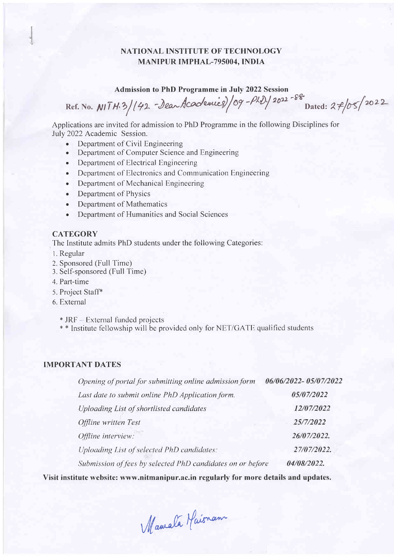# NATIONAL INSTITUTE OF TECHNOLOGY MANIPUR IMPFIAL-795004. INDIA

### Admission to PhD Programme in July 2022 Session

Ref. No. NITH.3/142 - Dear Academics)/09 -PhD./2022 -88 Dated: 27/05/2022

Applications are invited for admission to PhD Programme in the following Disciplines for July 2022 Academic Session.

- Department of Civil Engineering
- . Department of Computer Science and Engineering
- Department of Electrical Engineering
- Department of Electronics and Communication Engineering
- . Department of Mechanical Engineering
- Department of Physics
- . Department of Mathematics
- . Department of Humanities and Social Sciences

## **CATEGORY**

The Institute admits PhD students under the following Categories:

- l. Regular
- 2. Sponsored (Full Time)
- 3. Self-sponsored (Full Time)
- 4. Part-time
- 5. Project Staff\*
- 6. External

\* JRF -- External funded projects

\* \* Institute fellowship will be provided only for NET/GATE qualified students

## IMPORTANT DATES

| Opening of portal for submitting online admission form     | 06/06/2022-05/07/2022 |
|------------------------------------------------------------|-----------------------|
| Last date to submit online PhD Application form.           | 05/07/2022            |
| Uploading List of shortlisted candidates                   | 12/07/2022            |
| Offline written Test                                       | 25/7/2022             |
| Offline interview:                                         | 26/07/2022.           |
| Uploading List of selected PhD candidates:                 | 27/07/2022.           |
| Submission of fees by selected PhD candidates on or before | 04/08/2022.           |

Visit institute website: www.nitmanipur.ac.in regularly for more details and updates.

Mamala Maisnam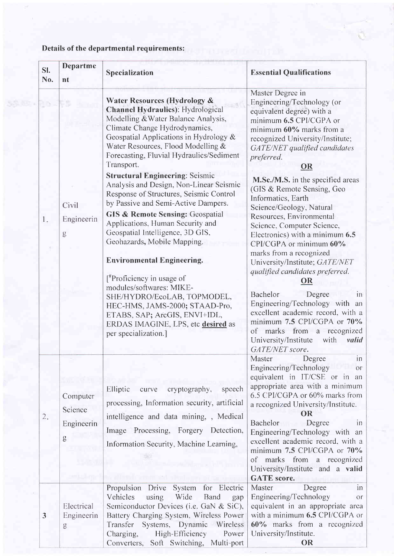# Details of the departmental requirements:

| SI.<br>No. | Departme<br>nt                         | Specialization                                                                                                                                                                                                                                                                                                                                                                                                                                                                                                                                                                                                                                                                                                                                                                                                                                                                                           | <b>Essential Qualifications</b>                                                                                                                                                                                                                                                                                                                                                                                                                                                                                                                                                                                                                                                                                                                                                                                         |
|------------|----------------------------------------|----------------------------------------------------------------------------------------------------------------------------------------------------------------------------------------------------------------------------------------------------------------------------------------------------------------------------------------------------------------------------------------------------------------------------------------------------------------------------------------------------------------------------------------------------------------------------------------------------------------------------------------------------------------------------------------------------------------------------------------------------------------------------------------------------------------------------------------------------------------------------------------------------------|-------------------------------------------------------------------------------------------------------------------------------------------------------------------------------------------------------------------------------------------------------------------------------------------------------------------------------------------------------------------------------------------------------------------------------------------------------------------------------------------------------------------------------------------------------------------------------------------------------------------------------------------------------------------------------------------------------------------------------------------------------------------------------------------------------------------------|
| 1.         | Civil<br>Engineerin<br>g               | <b>Water Resources (Hydrology &amp;</b><br>Channel Hydraulics): Hydrological<br>Modelling & Water Balance Analysis,<br>Climate Change Hydrodynamics,<br>Geospatial Applications in Hydrology &<br>Water Resources, Flood Modelling &<br>Forecasting, Fluvial Hydraulics/Sediment<br>Transport.<br><b>Structural Engineering: Seismic</b><br>Analysis and Design, Non-Linear Seismic<br>Response of Structures, Seismic Control<br>by Passive and Semi-Active Dampers.<br><b>GIS &amp; Remote Sensing: Geospatial</b><br>Applications, Human Security and<br>Geospatial Intelligence, 3D GIS,<br>Geohazards, Mobile Mapping.<br><b>Environmental Engineering.</b><br>$[$ <sup>#</sup> Proficiency in usage of<br>modules/softwares: MIKE-<br>SHE/HYDRO/EcoLAB, TOPMODEL,<br>HEC-HMS, JAMS-2000; STAAD-Pro,<br>ETABS, SAP; ArcGIS, ENVI+IDL,<br>ERDAS IMAGINE, LPS, etc desired as<br>per specialization.] | Master Degree in<br>Engineering/Technology (or<br>equivalent degree) with a<br>minimum 6.5 CPI/CGPA or<br>minimum 60% marks from a<br>recognized University/Institute;<br>GATE/NET qualified candidates<br>preferred.<br><b>OR</b><br>M.Sc./M.S. in the specified areas<br>(GIS & Remote Sensing, Geo<br>Informatics, Earth<br>Science/Geology, Natural<br>Resources, Environmental<br>Science, Computer Science,<br>Electronics) with a minimum 6.5<br>CPI/CGPA or minimum 60%<br>marks from a recognized<br>University/Institute; GATE/NET<br>qualified candidates preferred.<br>Bachelor<br>Degree<br>$\overline{m}$<br>Engineering/Technology with an<br>excellent academic record, with a<br>minimum 7.5 CPI/CGPA or 70%<br>of marks from a recognized<br>University/Institute<br>with<br>valid<br>GATE/NET score. |
| 2.         | Computer<br>Science<br>Engineerin<br>g | Elliptic<br>cryptography,<br>speech<br>curve<br>processing, Information security, artificial<br>intelligence and data mining, , Medical<br>Image Processing, Forgery Detection,<br>Information Security, Machine Learning,                                                                                                                                                                                                                                                                                                                                                                                                                                                                                                                                                                                                                                                                               | Master<br>Degree<br>in<br>Engineering/Technology<br><b>or</b><br>equivalent in IT/CSE or in an<br>appropriate area with a minimum<br>6.5 CPI/CGPA or 60% marks from<br>a recognized University/Institute.<br><b>OR</b><br>Bachelor<br>Degree<br>1D<br>Engineering/Technology with an<br>excellent academic record, with a<br>minimum 7.5 CPI/CGPA or 70%<br>of marks from a recognized<br>University/Institute and a valid<br><b>GATE</b> score.                                                                                                                                                                                                                                                                                                                                                                        |
| 3          | Electrical<br>Engineerin<br>g          | Propulsion Drive<br>for Electric<br>System<br>Vehicles<br>using<br><b>Wide</b><br>Band<br>gap<br>Semiconductor Devices (i.e. GaN & SiC),<br>Battery Charging System, Wireless Power<br>Systems, Dynamic Wireless<br>Transfer<br>High-Efficiency<br>Charging,<br>Power<br>Converters Soft Switching Multi-port                                                                                                                                                                                                                                                                                                                                                                                                                                                                                                                                                                                            | Degree<br>Master<br>in<br>Engineering/Technology<br>or<br>equivalent in an appropriate area<br>with a minimum 6.5 CPI/CGPA or<br>60% marks from a recognized<br>University/Institute.<br>ΩR                                                                                                                                                                                                                                                                                                                                                                                                                                                                                                                                                                                                                             |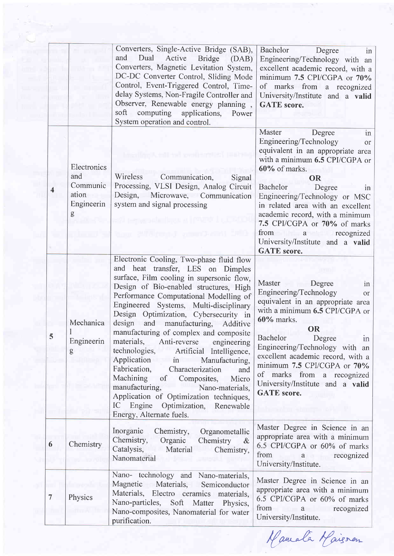|                |                                                            | Converters, Single-Active Bridge (SAB),<br>Dual<br>and<br>Active<br><b>Bridge</b><br>(DAB)<br>Converters, Magnetic Levitation System,<br>DC-DC Converter Control, Sliding Mode<br>Control, Event-Triggered Control, Time-<br>delay Systems, Non-Fragile Controller and<br>Observer, Renewable energy planning,<br>soft<br>computing<br>applications,<br>Power<br>System operation and control.                                                                                                                                                                                                                                                                                                                                                                             | Bachelor<br>Degree<br>in<br>Engineering/Technology with an<br>excellent academic record, with a<br>minimum 7.5 CPI/CGPA or 70%<br>of marks from a recognized<br>University/Institute and a valid<br><b>GATE</b> score.                                                                                                                                                                                                     |
|----------------|------------------------------------------------------------|----------------------------------------------------------------------------------------------------------------------------------------------------------------------------------------------------------------------------------------------------------------------------------------------------------------------------------------------------------------------------------------------------------------------------------------------------------------------------------------------------------------------------------------------------------------------------------------------------------------------------------------------------------------------------------------------------------------------------------------------------------------------------|----------------------------------------------------------------------------------------------------------------------------------------------------------------------------------------------------------------------------------------------------------------------------------------------------------------------------------------------------------------------------------------------------------------------------|
| 4              | Electronics<br>and<br>Communic<br>ation<br>Engineerin<br>g | Wireless<br>Communication,<br>Signal<br>Processing, VLSI Design, Analog Circuit<br>Design,<br>Microwave, Communication<br>system and signal processing                                                                                                                                                                                                                                                                                                                                                                                                                                                                                                                                                                                                                     | Master<br>Degree<br>in<br>Engineering/Technology<br><sub>or</sub><br>equivalent in an appropriate area<br>with a minimum 6.5 CPI/CGPA or<br>60% of marks.<br><b>OR</b><br>Bachelor<br>Degree<br>1n<br>Engineering/Technology or MSC<br>in related area with an excellent<br>academic record, with a minimum<br>7.5 CPI/CGPA or 70% of marks<br>from a recognized<br>University/Institute and a valid<br><b>GATE</b> score. |
| D.             | Mechanica<br>Engineerin<br>g                               | Electronic Cooling, Two-phase fluid flow<br>and heat transfer, LES on Dimples<br>surface, Film cooling in supersonic flow,<br>Design of Bio-enabled structures, High<br>Performance Computational Modelling of<br>Engineered Systems, Multi-disciplinary<br>Design Optimization, Cybersecurity in<br>design<br>and<br>manufacturing,<br>Additive<br>manufacturing of complex and composite<br>materials,<br>Anti-reverse engineering<br>technologies,<br>Artificial Intelligence,<br>Application in<br>Manufacturing,<br>Fabrication,<br>Characterization<br>and<br>Machining<br>$\sigma f$<br>Composites,<br>Micro<br>manufacturing,<br>Nano-materials,<br>Application of Optimization techniques,<br>Engine<br>Optimization, Renewable<br>IC<br>Energy, Alternate fuels. | Master<br>Degree<br>in<br>Engineering/Technology<br>or<br>equivalent in an appropriate area<br>with a minimum 6.5 CPI/CGPA or<br>60% marks.<br><b>OR</b><br>Bachelor<br>Degree<br>m<br>Engineering/Technology with an<br>excellent academic record, with a<br>minimum 7.5 CPI/CGPA or 70%<br>of marks from a recognized<br>University/Institute and a valid<br><b>GATE</b> score.                                          |
| 6              | Chemistry                                                  | Inorganic<br>Chemistry,<br>Organometallic<br>Chemistry,<br>Organic<br>Chemistry<br>$\&$<br>Catalysis,<br>Material<br>Chemistry,<br>Nanomaterial                                                                                                                                                                                                                                                                                                                                                                                                                                                                                                                                                                                                                            | Master Degree in Science in an<br>appropriate area with a minimum<br>6.5 CPI/CGPA or 60% of marks<br>from a recognized<br>University/Institute.                                                                                                                                                                                                                                                                            |
| $\overline{7}$ | Physics                                                    | Nano- technology and Nano-materials,<br>Magnetic<br>Materials,<br>Semiconductor<br>Materials, Electro ceramics materials,<br>Nano-particles, Soft Matter Physics,<br>Nano-composites, Nanomaterial for water<br>purification.                                                                                                                                                                                                                                                                                                                                                                                                                                                                                                                                              | Master Degree in Science in an<br>appropriate area with a minimum<br>6.5 CPI/CGPA or 60% of marks<br>from<br>a recognized<br>University/Institute.                                                                                                                                                                                                                                                                         |

Mamala Maisven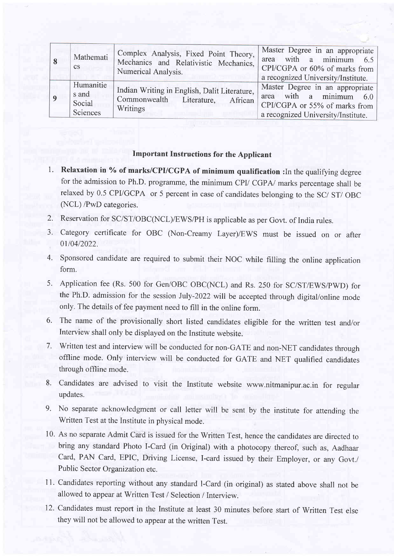| Mathemati<br><sub>c</sub> s | Complex Analysis, Fixed Point Theory,<br>Mechanics and Relativistic Mechanics,<br>Numerical Analysis. | Master Degree in an appropriate<br>area with a minimum 6.5<br>CPI/CGPA or 60% of marks from<br>a recognized University/Institute. |
|-----------------------------|-------------------------------------------------------------------------------------------------------|-----------------------------------------------------------------------------------------------------------------------------------|
| Humanitie                   | Indian Writing in English, Dalit Literature,                                                          | Master Degree in an appropriate                                                                                                   |
| s and                       | Commonwealth Literature,                                                                              | area with a minimum $6.0$                                                                                                         |
| Social                      | African                                                                                               | CPI/CGPA or 55% of marks from                                                                                                     |
| Sciences                    | Writings                                                                                              | a recognized University/Institute.                                                                                                |

### Important Instructions for the Applicant

- 1. Relaxation in % of marks/CPI/CGPA of minimum qualification : In the qualifying degree for the admission to Ph.D. programme, the minimum CPI/ CGPA/ marks percentage shall be relaxed by 0.5 CPVGCPA or 5 percent in case of candidates belonging to the SC/ ST/ OBC (NCL) /PwD categories.
- 2. Reservation for SC/ST/OBC(NCL/EWS/PH is applicable as per Govt. of India rules.
- 3. Category certificate for OBC (Non-Creamy Layer)/EWS must be issued on or after 01/04/2022.
- 4. Sponsored candidate are required to submit their NOC while filling the online application form.
- 5. Application fee (Rs. 500 for Gen/OBC OBC(NCL) and Rs. 250 for SC/ST/EWS/pWD) for the Ph.D. admission for the session July-2022 will be accepted through digital/online mode only. The details of fee payment need to fill in the online form.
- 6. The name of the provisionally short listed candidates eligible for the written test and/or Interview shall only be displayed on the Institute website.
- 7. Written test and interview will be conducted for non-GATE and non-NET candidates through offline mode. Only interview will be conducted for GATE and NET qualified candidates through offline mode.
- 8. Candidates are advised to visit the Institute website www.nitmanipur.ac.in for regular updates.
- 9. No separate acknowledgment or call letter will be sent by the institute for attending the Written Test at the Institute in physical mode.
- 10. As no separate Admit Card is issued for the Written Test, hence the candidates are directed to bring any standard Photo I-Card (in Original) with a photocopy thereof, such as, Aadhaar Card, PAN Card, EPIC, Driving License, I-card issued by their Employer, or any Govt./ Public Sector Organization etc.
- 11. Candidates reporting without any standard l-Card (in original) as stated above shall not be allowed to appear at Written Test / Selection / Interview.
- 12. Candidates must report in the Institute at least 30 minutes before start of Written Test else they will not be allowed to appear at the written Test.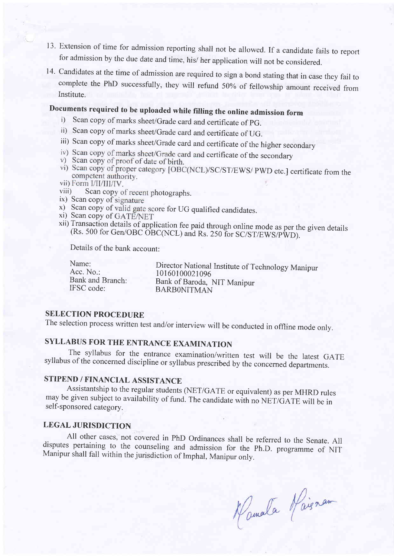- l3' Extension of time for admission reporting shall not be allowed. If a candidate fails to report for admission by the due date and time, his/ her application will not be considered.
- 14. Candidates at the time of admission are required to sign a bond stating that in case they fail to complete the PhD successfully, they will refund 50% of fellowship amount received from Institute.

# Documents required to be uploaded while filling the online admission form i) Scan copy of marks sheet/Grade card and certificate of pG.

- 
- ii) Scan copy of marks sheet/Grade card and certificate of UG.
- iii) Scan copy of marks sheet/Grade card and certificate of the higher secondary
- iv) Scan copy of marks sheet/Grade card and certificate of the secondary
- v) Scan copy of proof of date of birth.
- vi) Scan copy of proper category [OBC(NCL)/SC/ST/EWS/ PWD etc.] certificate from the competent authority.
- 
- vii) Form I/II/III/IV.<br>viii) Scan copy of recent photographs.<br>ix) Scan copy of signature
- 
- x) Scan copy of valid gate score for UG qualified candidates.<br>xi) Scan copy of GATE/NET
- 
- xii) Transaction details of application fee paid through online mode as per the given details (Rs. 500 for Gen/OBC OBC(NCL) and Rs. 250 for SC/ST/EWS/PWD).

Details of the bank account:

| Name:            | Director National Institute of Technology Manipur |
|------------------|---------------------------------------------------|
| Acc. No.:        | 10160100021096                                    |
| Bank and Branch: | Bank of Baroda, NIT Manipur                       |
| IFSC code:       | <b>BARBONITMAN</b>                                |

# SELECTION PROCEDURE

The selection process written test and/or interview will be conducted in offline mode only.

SYLLABUS FOR THE ENTRANCE EXAMINATION<br>The syllabus for the entrance examination/written test will be the latest GATE syllabus of the concerned discipline or syllabus prescribed by the concerned departments.

# STIPEND / FINANCIAL ASSISTANCE

Assistantship to the regular students (NET/GATE or equivalent) as per MHRD rules may be given subject to availability of fund. The candidate with no NET/GATE will be in self-sponsored category.

# LEGAL JURISDICTION

All other cases, not covered in PhD ordinances shall be referred to the Senate. All disputes pertaining to the counseling and admission for the Ph.D. programme of NIT Manipur shall fall within the jurisdiction of Imphal, Manipur only.

Kamata Kaisnam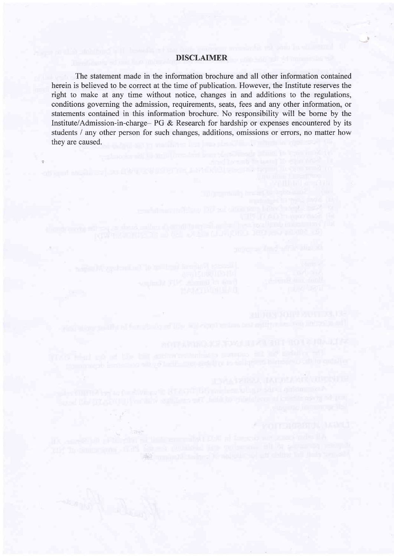# DISCLAIMER

 $\cup$ 

The statement made in the information brochure and all other information contained herein is believed to be correct at the time of publication. However, the Institute reserves the right to make at any time without notice, changes in and additions to the regulations, conditions governing the admission, requirements, seats, fees and any other information, or statements contained in this information brochure. No responsibility will be borne by the Institute/Admission-in-charge- PG & Research for hardship or expenses encountered by its students / any other person for such changes, additions, omissions or errors, no matter how they are caused.

unduring unit debut as a main and the

**JOANSERLA INFORMATION CONSUM** 

of many 21 reduced to adoption of off ordinal that the coupon

**PROTECTORISTOL MANGEL**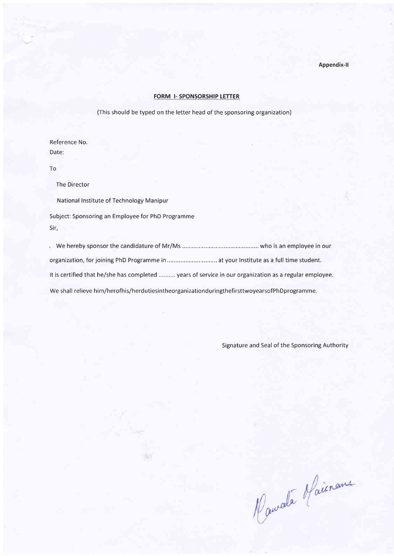Appendix-ll

### FORM I- SPONSORSHIP LETTER

(This should be typed on the letter head of the sponsoring organization)

Reference No. Date:

To

The Director

National Institute of Technology Manipur

Subject: Sponsoring an Employee for PhD Programme Sir,

| It is certified that he/she has completed  years of service in our organization as a regular employee. |  |
|--------------------------------------------------------------------------------------------------------|--|
| We shall relieve him/herofhis/herdutiesintheorganizationduringthefirsttwoyearsofPhDprogramme.          |  |

Signature and Seal of the Sponsoring Authority

Naurale Maisnance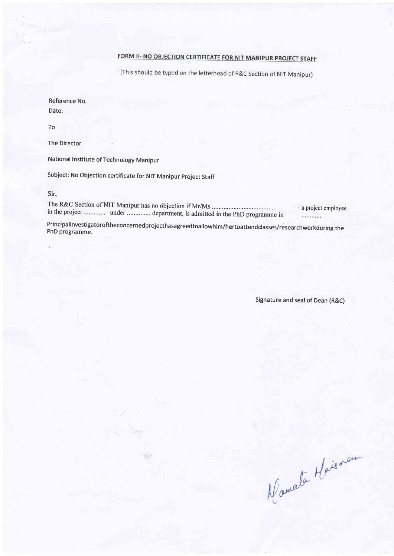# FORM II- NO OBJECTION CERTIFICATE FOR NIT MANIPUR PROJECT STAFF

(This should be typed on the letterhead of R&C Section of NIT Manipur)

Reference No. Date:

To

The Director

National Institute of Technology Manipur

Subject: No Objection certificate for NIT Manipur Project Staff

Sir,

<sup>3</sup> a project employee in the project .............. under ............... department, is admitted in the PhD programme in . . . . . . . . . . . .

PrincipalInvestigatoroftheconcernedprojecthasagreedtoallowhim/hertoattendclasses/researchworkduring the PhD programme.

Signature and seal of Dean (R&C)

Mamata Maissau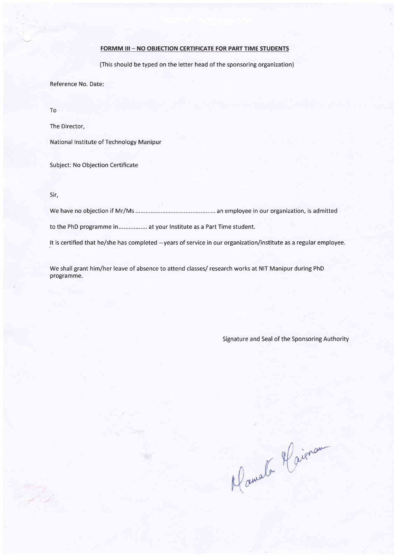# FORMM III - NO OBJECTION CERTIFICATE FOR PART TIME STUDENTS

(This should be typed on the letter head of the sponsoring organization)

Reference No. Date:

To

The Director,

National Institute of Technology Manipur

Subject: No Objection Certificate

Sir,

We have no objection if Mr/Ms ...... an employee in our organization, is admitted

to the PhD programme in................. at your lnstitute as a Part Time student.

. ':r'

It is certified that he/she has completed -- years of service in our organization/institute as a regular employee.

We shall grant him/her leave of absence to attend classes/ research works at NIT Manipur during PhD programme.

Signature and Seal of the Sponsoring Authority

Mamala Haisran